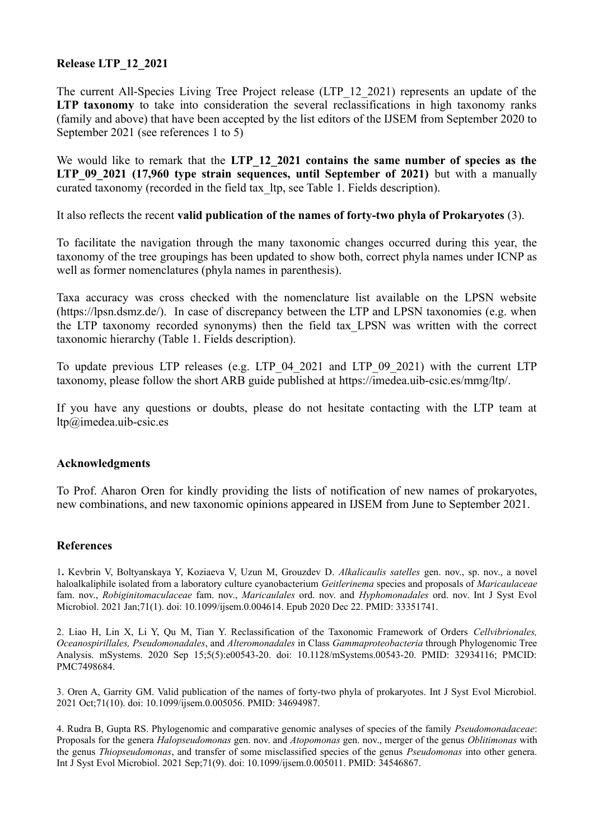## **Release LTP\_12\_2021**

The current All-Species Living Tree Project release (LTP\_12\_2021) represents an update of the **LTP taxonomy** to take into consideration the several reclassifications in high taxonomy ranks (family and above) that have been accepted by the list editors of the IJSEM from September 2020 to September 2021 (see references 1 to 5)

We would like to remark that the LTP 12 2021 contains the same number of species as the **LTP** 09 2021 (17,960 type strain sequences, until September of 2021) but with a manually curated taxonomy (recorded in the field tax\_ltp, see Table 1. Fields description).

It also reflects the recent **valid publication of the names of forty-two phyla of Prokaryotes** (3).

To facilitate the navigation through the many taxonomic changes occurred during this year, the taxonomy of the tree groupings has been updated to show both, correct phyla names under ICNP as well as former nomenclatures (phyla names in parenthesis).

Taxa accuracy was cross checked with the nomenclature list available on the LPSN website (https://lpsn.dsmz.de/). In case of discrepancy between the LTP and LPSN taxonomies (e.g. when the LTP taxonomy recorded synonyms) then the field tax\_LPSN was written with the correct taxonomic hierarchy (Table 1. Fields description).

To update previous LTP releases (e.g. LTP\_04\_2021 and LTP\_09\_2021) with the current LTP taxonomy, please follow the short ARB guide published at https://imedea.uib-csic.es/mmg/ltp/.

If you have any questions or doubts, please do not hesitate contacting with the LTP team at ltp@imedea.uib-csic.es

## **Acknowledgments**

To Prof. Aharon Oren for kindly providing the lists of notification of new names of prokaryotes, new combinations, and new taxonomic opinions appeared in IJSEM from June to September 2021.

## **References**

1**.** Kevbrin V, Boltyanskaya Y, Koziaeva V, Uzun M, Grouzdev D. *Alkalicaulis satelles* gen. nov., sp. nov., a novel haloalkaliphile isolated from a laboratory culture cyanobacterium *Geitlerinema* species and proposals of *Maricaulaceae* fam. nov., *Robiginitomaculaceae* fam. nov., *Maricaulales* ord. nov. and *Hyphomonadales* ord. nov. Int J Syst Evol Microbiol. 2021 Jan;71(1). doi: 10.1099/ijsem.0.004614. Epub 2020 Dec 22. PMID: 33351741.

2. Liao H, Lin X, Li Y, Qu M, Tian Y. Reclassification of the Taxonomic Framework of Orders *Cellvibrionales, Oceanospirillales, Pseudomonadales*, and *Alteromonadales* in Class *Gammaproteobacteria* through Phylogenomic Tree Analysis. mSystems. 2020 Sep 15;5(5):e00543-20. doi: 10.1128/mSystems.00543-20. PMID: 32934116; PMCID: PMC7498684.

3. Oren A, Garrity GM. Valid publication of the names of forty-two phyla of prokaryotes. Int J Syst Evol Microbiol. 2021 Oct;71(10). doi: 10.1099/ijsem.0.005056. PMID: 34694987.

4. Rudra B, Gupta RS. Phylogenomic and comparative genomic analyses of species of the family *Pseudomonadaceae*: Proposals for the genera *Halopseudomonas* gen. nov. and *Atopomonas* gen. nov., merger of the genus *Oblitimonas* with the genus *Thiopseudomonas*, and transfer of some misclassified species of the genus *Pseudomonas* into other genera. Int J Syst Evol Microbiol. 2021 Sep;71(9). doi: 10.1099/ijsem.0.005011. PMID: 34546867.